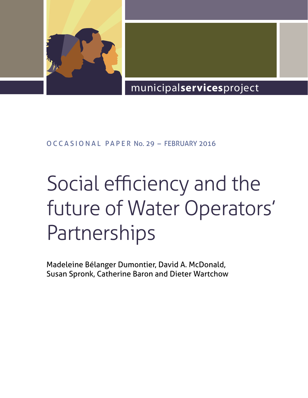

# municipal**services**project

### O CCASIONAL PAPER No. 29 - FEBRUARY 2016

# Social efficiency and the future of Water Operators' **Partnerships**

Madeleine Bélanger Dumontier, David A. McDonald, Susan Spronk, Catherine Baron and Dieter Wartchow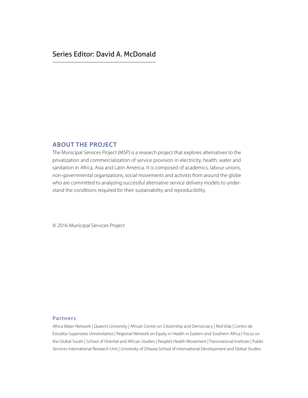### Series Editor: David A. McDonald

#### **About the project**

The Municipal Services Project (MSP) is a research project that explores alternatives to the privatization and commercialization of service provision in electricity, health, water and sanitation in Africa, Asia and Latin America. It is composed of academics, labour unions, non-governmental organizations, social movements and activists from around the globe who are committed to analyzing successful alternative service delivery models to understand the conditions required for their sustainability and reproducibility.

© 2016 Municipal Services Project

#### **Partners**

Africa Water Network | Queen's University | African Centre on Citizenship and Democracy | Red Vida | Centro de Estudios Superiores Universitarios | Regional Network on Equity in Health in Eastern and Southern Africa | Focus on the Global South | School of Oriental and African Studies | People's Health Movement | Transnational Institute | Public Services International Research Unit | University of Ottawa School of International Development and Global Studies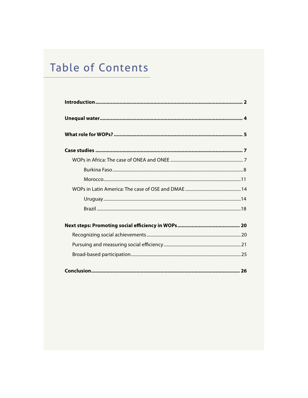# **Table of Contents**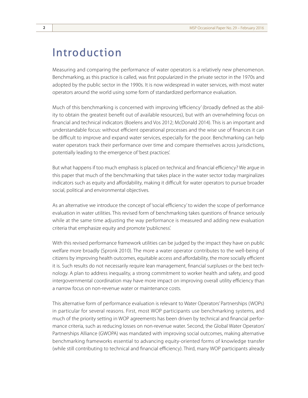### Introduction

Measuring and comparing the performance of water operators is a relatively new phenomenon. Benchmarking, as this practice is called, was first popularized in the private sector in the 1970s and adopted by the public sector in the 1990s. It is now widespread in water services, with most water operators around the world using some form of standardized performance evaluation.

Much of this benchmarking is concerned with improving 'efficiency' (broadly defined as the ability to obtain the greatest benefit out of available resources), but with an overwhelming focus on financial and technical indicators (Boelens and Vos 2012; McDonald 2014). This is an important and understandable focus: without efficient operational processes and the wise use of finances it can be difficult to improve and expand water services, especially for the poor. Benchmarking can help water operators track their performance over time and compare themselves across jurisdictions, potentially leading to the emergence of 'best practices'.

But what happens if too much emphasis is placed on technical and financial efficiency? We argue in this paper that much of the benchmarking that takes place in the water sector today marginalizes indicators such as equity and affordability, making it difficult for water operators to pursue broader social, political and environmental objectives.

As an alternative we introduce the concept of 'social efficiency' to widen the scope of performance evaluation in water utilities. This revised form of benchmarking takes questions of finance seriously while at the same time adjusting the way performance is measured and adding new evaluation criteria that emphasize equity and promote 'publicness'.

With this revised performance framework utilities can be judged by the impact they have on public welfare more broadly (Spronk 2010). The more a water operator contributes to the well-being of citizens by improving health outcomes, equitable access and affordability, the more socially efficient it is. Such results do not necessarily require lean management, financial surpluses or the best technology. A plan to address inequality, a strong commitment to worker health and safety, and good intergovernmental coordination may have more impact on improving overall utility efficiency than a narrow focus on non-revenue water or maintenance costs.

This alternative form of performance evaluation is relevant to Water Operators' Partnerships (WOPs) in particular for several reasons. First, most WOP participants use benchmarking systems, and much of the priority setting in WOP agreements has been driven by technical and financial performance criteria, such as reducing losses on non-revenue water. Second, the Global Water Operators' Partnerships Alliance (GWOPA) was mandated with improving social outcomes, making alternative benchmarking frameworks essential to advancing equity-oriented forms of knowledge transfer (while still contributing to technical and financial efficiency). Third, many WOP participants already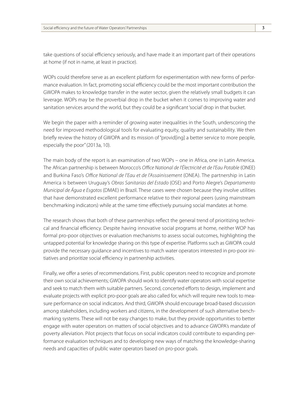take questions of social efficiency seriously, and have made it an important part of their operations at home (if not in name, at least in practice).

WOPs could therefore serve as an excellent platform for experimentation with new forms of performance evaluation. In fact, promoting social efficiency could be the most important contribution the GWOPA makes to knowledge transfer in the water sector, given the relatively small budgets it can leverage. WOPs may be the proverbial drop in the bucket when it comes to improving water and sanitation services around the world, but they could be a significant 'social' drop in that bucket.

We begin the paper with a reminder of growing water inequalities in the South, underscoring the need for improved methodological tools for evaluating equity, quality and sustainability. We then briefly review the history of GWOPA and its mission of "provid[ing] a better service to more people, especially the poor" (2013a, 10).

The main body of the report is an examination of two WOPs – one in Africa, one in Latin America. The African partnership is between Morocco's *Office National de l'Électricité et de l'Eau Potable* (ONEE) and Burkina Faso's *Office National de l'Eau et de l'Assainissement* (ONEA). The partnership in Latin America is between Uruguay's *Obras Sanitarias del Estado* (OSE) and Porto Alegre's *Departamento Municipal de Água e Esgotos* (DMAE) in Brazil. These cases were chosen because they involve utilities that have demonstrated excellent performance relative to their regional peers (using mainstream benchmarking indicators) while at the same time effectively pursuing social mandates at home.

The research shows that both of these partnerships reflect the general trend of prioritizing technical and financial efficiency. Despite having innovative social programs at home, neither WOP has formal pro-poor objectives or evaluation mechanisms to assess social outcomes, highlighting the untapped potential for knowledge sharing on this type of expertise. Platforms such as GWOPA could provide the necessary guidance and incentives to match water operators interested in pro-poor initiatives and prioritize social efficiency in partnership activities.

Finally, we offer a series of recommendations. First, public operators need to recognize and promote their own social achievements; GWOPA should work to identify water operators with social expertise and seek to match them with suitable partners. Second, concerted efforts to design, implement and evaluate projects with explicit pro-poor goals are also called for, which will require new tools to measure performance on social indicators. And third, GWOPA should encourage broad-based discussion among stakeholders, including workers and citizens, in the development of such alternative benchmarking systems. These will not be easy changes to make, but they provide opportunities to better engage with water operators on matters of social objectives and to advance GWOPA's mandate of poverty alleviation. Pilot projects that focus on social indicators could contribute to expanding performance evaluation techniques and to developing new ways of matching the knowledge-sharing needs and capacities of public water operators based on pro-poor goals.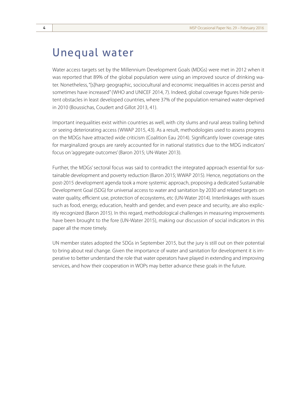### Unequal water

Water access targets set by the Millennium Development Goals (MDGs) were met in 2012 when it was reported that 89% of the global population were using an improved source of drinking water. Nonetheless, "[s]harp geographic, sociocultural and economic inequalities in access persist and sometimes have increased" (WHO and UNICEF 2014, 7). Indeed, global coverage figures hide persistent obstacles in least developed countries, where 37% of the population remained water-deprived in 2010 (Boussichas, Coudert and Gillot 2013, 41).

Important inequalities exist within countries as well, with city slums and rural areas trailing behind or seeing deteriorating access (WWAP 2015, 43). As a result, methodologies used to assess progress on the MDGs have attracted wide criticism (Coalition Eau 2014). Significantly lower coverage rates for marginalized groups are rarely accounted for in national statistics due to the MDG indicators' focus on 'aggregate outcomes' (Baron 2015; UN-Water 2013).

Further, the MDGs' sectoral focus was said to contradict the integrated approach essential for sustainable development and poverty reduction (Baron 2015; WWAP 2015). Hence, negotiations on the post-2015 development agenda took a more systemic approach, proposing a dedicated Sustainable Development Goal (SDG) for universal access to water and sanitation by 2030 and related targets on water quality, efficient use, protection of ecosystems, etc (UN-Water 2014). Interlinkages with issues such as food, energy, education, health and gender, and even peace and security, are also explicitly recognized (Baron 2015). In this regard, methodological challenges in measuring improvements have been brought to the fore (UN-Water 2015), making our discussion of social indicators in this paper all the more timely.

UN member states adopted the SDGs in September 2015, but the jury is still out on their potential to bring about real change. Given the importance of water and sanitation for development it is imperative to better understand the role that water operators have played in extending and improving services, and how their cooperation in WOPs may better advance these goals in the future.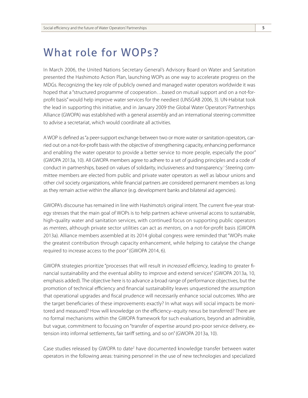# What role for WOPs?

In March 2006, the United Nations Secretary General's Advisory Board on Water and Sanitation presented the Hashimoto Action Plan, launching WOPs as one way to accelerate progress on the MDGs. Recognizing the key role of publicly owned and managed water operators worldwide it was hoped that a "structured programme of cooperation...based on mutual support and on a not-forprofit basis" would help improve water services for the neediest (UNSGAB 2006, 3). UN-Habitat took the lead in supporting this initiative, and in January 2009 the Global Water Operators' Partnerships Alliance (GWOPA) was established with a general assembly and an international steering committee to advise a secretariat, which would coordinate all activities.

A WOP is defined as "a peer-support exchange between two or more water or sanitation operators, carried out on a not-for-profit basis with the objective of strengthening capacity, enhancing performance and enabling the water operator to provide a better service to more people, especially the poor" (GWOPA 2013a, 10). All GWOPA members agree to adhere to a set of guiding principles and a code of conduct in partnerships, based on values of solidarity, inclusiveness and transparency.1 Steering committee members are elected from public and private water operators as well as labour unions and other civil society organizations, while financial partners are considered permanent members as long as they remain active within the alliance (e.g. development banks and bilateral aid agencies).

GWOPA's discourse has remained in line with Hashimoto's original intent. The current five-year strategy stresses that the main goal of WOPs is to help partners achieve universal access to sustainable, high-quality water and sanitation services, with continued focus on supporting public operators as *mentees*, although private sector utilities can act as *mentors*, on a not-for-profit basis (GWOPA 2013a). Alliance members assembled at its 2014 global congress were reminded that "WOPs make the greatest contribution through capacity enhancement, while helping to catalyse the change required to increase access to the poor" (GWOPA 2014, 6).

GWOPA strategies prioritize "processes that will result in *increased efficiency*, leading to greater financial sustainability and the eventual ability to improve and extend services" (GWOPA 2013a, 10, emphasis added). The objective here is to advance a broad range of performance objectives, but the promotion of technical efficiency and financial sustainability leaves unquestioned the assumption that operational upgrades and fiscal prudence will necessarily enhance social outcomes. Who are the target beneficiaries of these improvements exactly? In what ways will social impacts be monitored and measured? How will knowledge on the efficiency–equity nexus be transferred? There are no formal mechanisms within the GWOPA framework for such evaluations, beyond an admirable, but vague, commitment to focusing on "transfer of expertise around pro-poor service delivery, extension into informal settlements, fair tariff setting, and so on" (GWOPA 2013a, 10).

Case studies released by GWOPA to date<sup>2</sup> have documented knowledge transfer between water operators in the following areas: training personnel in the use of new technologies and specialized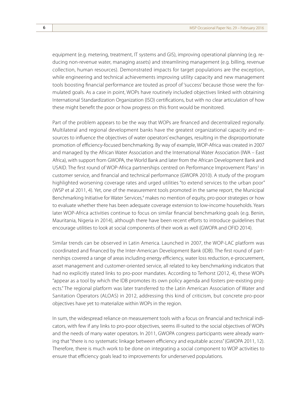equipment (e.g. metering, treatment, IT systems and GIS), improving operational planning (e.g. reducing non-revenue water, managing assets) and streamlining management (e.g. billing, revenue collection, human resources). Demonstrated impacts for target populations are the exception, while engineering and technical achievements improving utility capacity and new management tools boosting financial performance are touted as proof of 'success' because those were the formulated goals. As a case in point, WOPs have routinely included objectives linked with obtaining International Standardization Organization (ISO) certifications, but with no clear articulation of how these might benefit the poor or how progress on this front would be monitored.

Part of the problem appears to be the way that WOPs are financed and decentralized regionally. Multilateral and regional development banks have the greatest organizational capacity and resources to influence the objectives of water operators' exchanges, resulting in the disproportionate promotion of efficiency-focused benchmarking. By way of example, WOP-Africa was created in 2007 and managed by the African Water Association and the International Water Association (IWA – East Africa), with support from GWOPA, the World Bank and later from the African Development Bank and USAID. The first round of WOP-Africa partnerships centred on Performance Improvement Plans<sup>3</sup> in customer service, and financial and technical performance (GWOPA 2010). A study of the program highlighted worsening coverage rates and urged utilities "to extend services to the urban poor" (WSP et al 2011, 4). Yet, one of the measurement tools promoted in the same report, the Municipal Benchmarking Initiative for Water Services,<sup>4</sup> makes no mention of equity, pro-poor strategies or how to evaluate whether there has been adequate coverage extension to low-income households. Years later WOP-Africa activities continue to focus on similar financial benchmarking goals (e.g. Benin, Mauritania, Nigeria in 2014), although there have been recent efforts to introduce guidelines that encourage utilities to look at social components of their work as well (GWOPA and OFID 2014).

Similar trends can be observed in Latin America. Launched in 2007, the WOP-LAC platform was coordinated and financed by the Inter-American Development Bank (IDB). The first round of partnerships covered a range of areas including energy efficiency, water loss reduction, e-procurement, asset management and customer-oriented service, all related to key benchmarking indicators that had no explicitly stated links to pro-poor mandates. According to Terhorst (2012, 4), these WOPs "appear as a tool by which the IDB promotes its own policy agenda and fosters pre-existing projects." The regional platform was later transferred to the Latin American Association of Water and Sanitation Operators (ALOAS) in 2012, addressing this kind of criticism, but concrete pro-poor objectives have yet to materialize within WOPs in the region.

In sum, the widespread reliance on measurement tools with a focus on financial and technical indicators, with few if any links to pro-poor objectives, seems ill-suited to the social objectives of WOPs and the needs of many water operators. In 2011, GWOPA congress participants were already warning that "there is no systematic linkage between efficiency and equitable access" (GWOPA 2011, 12). Therefore, there is much work to be done on integrating a social component to WOP activities to ensure that efficiency goals lead to improvements for underserved populations.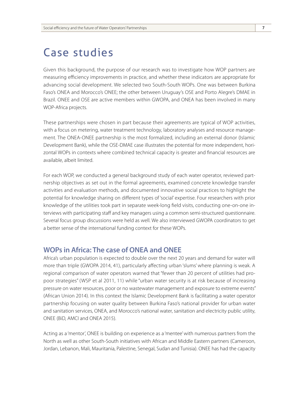### Case studies

Given this background, the purpose of our research was to investigate how WOP partners are measuring efficiency improvements in practice, and whether these indicators are appropriate for advancing social development. We selected two South-South WOPs. One was between Burkina Faso's ONEA and Morocco's ONEE; the other between Uruguay's OSE and Porto Alegre's DMAE in Brazil. ONEE and OSE are active members within GWOPA, and ONEA has been involved in many WOP-Africa projects.

These partnerships were chosen in part because their agreements are typical of WOP activities, with a focus on metering, water treatment technology, laboratory analyses and resource management. The ONEA-ONEE partnership is the most formalized, including an external donor (Islamic Development Bank), while the OSE-DMAE case illustrates the potential for more independent, horizontal WOPs in contexts where combined technical capacity is greater and financial resources are available, albeit limited.

For each WOP, we conducted a general background study of each water operator, reviewed partnership objectives as set out in the formal agreements, examined concrete knowledge transfer activities and evaluation methods, and documented innovative social practices to highlight the potential for knowledge sharing on different types of 'social' expertise. Four researchers with prior knowledge of the utilities took part in separate week-long field visits, conducting one-on-one interviews with participating staff and key managers using a common semi-structured questionnaire. Several focus group discussions were held as well. We also interviewed GWOPA coordinators to get a better sense of the international funding context for these WOPs.

### **WOPs in Africa: The case of ONEA and ONEE**

Africa's urban population is expected to double over the next 20 years and demand for water will more than triple (GWOPA 2014, 41), particularly affecting urban 'slums' where planning is weak. A regional comparison of water operators warned that "fewer than 20 percent of utilities had propoor strategies" (WSP et al 2011, 11) while "urban water security is at risk because of increasing pressure on water resources, poor or no wastewater management and exposure to extreme events" (African Union 2014). In this context the Islamic Development Bank is facilitating a water operator partnership focusing on water quality between Burkina Faso's national provider for urban water and sanitation services, ONEA, and Morocco's national water, sanitation and electricity public utility, ONEE (BiD, AMCI and ONEA 2015).

Acting as a 'mentor', ONEE is building on experience as a 'mentee' with numerous partners from the North as well as other South-South initiatives with African and Middle Eastern partners (Cameroon, Jordan, Lebanon, Mali, Mauritania, Palestine, Senegal, Sudan and Tunisia). ONEE has had the capacity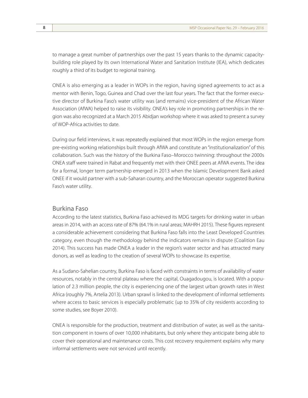to manage a great number of partnerships over the past 15 years thanks to the dynamic capacitybuilding role played by its own International Water and Sanitation Institute (IEA), which dedicates roughly a third of its budget to regional training.

ONEA is also emerging as a leader in WOPs in the region, having signed agreements to act as a mentor with Benin, Togo, Guinea and Chad over the last four years. The fact that the former executive director of Burkina Faso's water utility was (and remains) vice-president of the African Water Association (AfWA) helped to raise its visibility. ONEA's key role in promoting partnerships in the region was also recognized at a March 2015 Abidjan workshop where it was asked to present a survey of WOP-Africa activities to date.

During our field interviews, it was repeatedly explained that most WOPs in the region emerge from pre-existing working relationships built through AfWA and constitute an "institutionalization" of this collaboration. Such was the history of the Burkina Faso–Morocco twinning: throughout the 2000s ONEA staff were trained in Rabat and frequently met with their ONEE peers at AfWA events. The idea for a formal, longer term partnership emerged in 2013 when the Islamic Development Bank asked ONEE if it would partner with a sub-Saharan country, and the Moroccan operator suggested Burkina Faso's water utility.

#### Burkina Faso

According to the latest statistics, Burkina Faso achieved its MDG targets for drinking water in urban areas in 2014, with an access rate of 87% (64.1% in rural areas; MAHRH 2015). These figures represent a considerable achievement considering that Burkina Faso falls into the Least Developed Countries category, even though the methodology behind the indicators remains in dispute (Coalition Eau 2014). This success has made ONEA a leader in the region's water sector and has attracted many donors, as well as leading to the creation of several WOPs to showcase its expertise.

As a Sudano-Sahelian country, Burkina Faso is faced with constraints in terms of availability of water resources, notably in the central plateau where the capital, Ouagadougou, is located. With a population of 2.3 million people, the city is experiencing one of the largest urban growth rates in West Africa (roughly 7%, Artelia 2013). Urban sprawl is linked to the development of informal settlements where access to basic services is especially problematic (up to 35% of city residents according to some studies, see Boyer 2010).

ONEA is responsible for the production, treatment and distribution of water, as well as the sanitation component in towns of over 10,000 inhabitants, but only where they anticipate being able to cover their operational and maintenance costs. This cost recovery requirement explains why many informal settlements were not serviced until recently.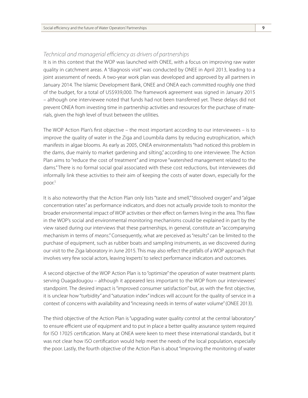#### *Technical and managerial efficiency as drivers of partnerships*

It is in this context that the WOP was launched with ONEE, with a focus on improving raw water quality in catchment areas. A "diagnosis visit" was conducted by ONEE in April 2013, leading to a joint assessment of needs. A two-year work plan was developed and approved by all partners in January 2014. The Islamic Development Bank, ONEE and ONEA each committed roughly one third of the budget, for a total of US\$939,000. The framework agreement was signed in January 2015 – although one interviewee noted that funds had not been transferred yet. These delays did not prevent ONEA from investing time in partnership activities and resources for the purchase of materials, given the high level of trust between the utilities.

The WOP Action Plan's first objective – the most important according to our interviewees – is to improve the quality of water in the Ziga and Loumbila dams by reducing eutrophication, which manifests in algae blooms. As early as 2005, ONEA environmentalists "had noticed this problem in the dams, due mainly to market gardening and silting," according to one interviewee. The Action Plan aims to "reduce the cost of treatment" and improve "watershed management related to the dams." There is no formal social goal associated with these cost reductions, but interviewees did informally link these activities to their aim of keeping the costs of water down, especially for the poor.<sup>5</sup>

It is also noteworthy that the Action Plan only lists "taste and smell," "dissolved oxygen" and "algae concentration rates" as performance indicators, and does not actually provide tools to monitor the broader environmental impact of WOP activities or their effect on farmers living in the area. This flaw in the WOP's social and environmental monitoring mechanisms could be explained in part by the view raised during our interviews that these partnerships, in general, constitute an "accompanying mechanism in terms of *means*." Consequently, what are perceived as "results" can be limited to the purchase of equipment, such as rubber boats and sampling instruments, as we discovered during our visit to the Ziga laboratory in June 2015. This may also reflect the pitfalls of a WOP approach that involves very few social actors, leaving 'experts' to select performance indicators and outcomes.

A second objective of the WOP Action Plan is to "optimize" the operation of water treatment plants serving Ouagadougou – although it appeared less important to the WOP from our interviewees' standpoint. The desired impact is "improved consumer satisfaction" but, as with the first objective, it is unclear how "turbidity" and "saturation index" indices will account for the quality of service in a context of concerns with availability and "increasing needs in terms of water volume" (ONEE 2013).

The third objective of the Action Plan is "upgrading water quality control at the central laboratory" to ensure efficient use of equipment and to put in place a better quality assurance system required for ISO 17025 certification. Many at ONEA were keen to meet these international standards, but it was not clear how ISO certification would help meet the needs of the local population, especially the poor. Lastly, the fourth objective of the Action Plan is about "improving the monitoring of water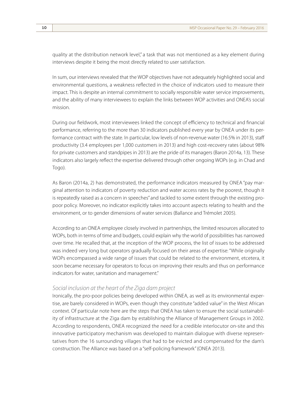quality at the distribution network level," a task that was not mentioned as a key element during interviews despite it being the most directly related to user satisfaction.

In sum, our interviews revealed that the WOP objectives have not adequately highlighted social and environmental questions, a weakness reflected in the choice of indicators used to measure their impact. This is despite an internal commitment to socially responsible water service improvements, and the ability of many interviewees to explain the links between WOP activities and ONEA's social mission.

During our fieldwork, most interviewees linked the concept of efficiency to technical and financial performance, referring to the more than 30 indicators published every year by ONEA under its performance contract with the state. In particular, low levels of non-revenue water (16.5% in 2013), staff productivity (3.4 employees per 1,000 customers in 2013) and high cost-recovery rates (about 98% for private customers and standpipes in 2013) are the pride of its managers (Baron 2014a, 13). These indicators also largely reflect the expertise delivered through other ongoing WOPs (e.g. in Chad and Togo).

As Baron (2014a, 2) has demonstrated, the performance indicators measured by ONEA "pay marginal attention to indicators of poverty reduction and water access rates by the poorest, though it is repeatedly raised as a concern in speeches" and tackled to some extent through the existing propoor policy. Moreover, no indicator explicitly takes into account aspects relating to health and the environment, or to gender dimensions of water services (Ballance and Trémolet 2005).

According to an ONEA employee closely involved in partnerships, the limited resources allocated to WOPs, both in terms of time and budgets, could explain why the world of possibilities has narrowed over time. He recalled that, at the inception of the WOP process, the list of issues to be addressed was indeed very long but operators gradually focused on their areas of expertise: "While originally WOPs encompassed a wide range of issues that could be related to the environment, etcetera, it soon became necessary for operators to focus on improving their results and thus on performance indicators for water, sanitation and management."

#### *Social inclusion at the heart of the Ziga dam project*

Ironically, the pro-poor policies being developed within ONEA, as well as its environmental expertise, are barely considered in WOPs, even though they constitute "added value" in the West African context. Of particular note here are the steps that ONEA has taken to ensure the social sustainability of infrastructure at the Ziga dam by establishing the Alliance of Management Groups in 2002. According to respondents, ONEA recognized the need for a credible interlocutor on-site and this innovative participatory mechanism was developed to maintain dialogue with diverse representatives from the 16 surrounding villages that had to be evicted and compensated for the dam's construction. The Alliance was based on a "self-policing framework" (ONEA 2013).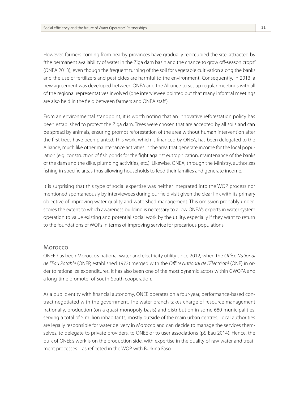However, farmers coming from nearby provinces have gradually reoccupied the site, attracted by "the permanent availability of water in the Ziga dam basin and the chance to grow off-season crops" (ONEA 2013), even though the frequent turning of the soil for vegetable cultivation along the banks and the use of fertilizers and pesticides are harmful to the environment. Consequently, in 2013, a new agreement was developed between ONEA and the Alliance to set up regular meetings with all of the regional representatives involved (one interviewee pointed out that many informal meetings are also held in the field between farmers and ONEA staff ).

From an environmental standpoint, it is worth noting that an innovative reforestation policy has been established to protect the Ziga dam. Trees were chosen that are accepted by all soils and can be spread by animals, ensuring prompt reforestation of the area without human intervention after the first trees have been planted. This work, which is financed by ONEA, has been delegated to the Alliance, much like other maintenance activities in the area that generate income for the local population (e.g. construction of fish ponds for the fight against eutrophication, maintenance of the banks of the dam and the dike, plumbing activities, etc.). Likewise, ONEA, through the Ministry, authorizes fishing in specific areas thus allowing households to feed their families and generate income.

It is surprising that this type of social expertise was neither integrated into the WOP process nor mentioned spontaneously by interviewees during our field visit given the clear link with its primary objective of improving water quality and watershed management. This omission probably underscores the extent to which awareness building is necessary to allow ONEA's experts in water system operation to value existing and potential social work by the utility, especially if they want to return to the foundations of WOPs in terms of improving service for precarious populations.

#### Morocco

ONEE has been Morocco's national water and electricity utility since 2012, when the *Office National de l'Eau Potable* (ONEP, established 1972) merged with the *Office National de l'Électricité* (ONE) in order to rationalize expenditures. It has also been one of the most dynamic actors within GWOPA and a long-time promoter of South-South cooperation.

As a public entity with financial autonomy, ONEE operates on a four-year, performance-based contract negotiated with the government. The water branch takes charge of resource management nationally, production (on a quasi-monopoly basis) and distribution in some 680 municipalities, serving a total of 5 million inhabitants, mostly outside of the main urban centres. Local authorities are legally responsible for water delivery in Morocco and can decide to manage the services themselves, to delegate to private providers, to ONEE or to user associations (pS-Eau 2014). Hence, the bulk of ONEE's work is on the production side, with expertise in the quality of raw water and treatment processes – as reflected in the WOP with Burkina Faso.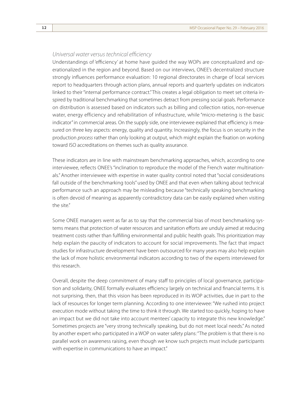#### *Universal water versus technical efficiency*

Understandings of 'efficiency' at home have guided the way WOPs are conceptualized and operationalized in the region and beyond. Based on our interviews, ONEE's decentralized structure strongly influences performance evaluation: 10 regional directorates in charge of local services report to headquarters through action plans, annual reports and quarterly updates on indicators linked to their "internal performance contract." This creates a legal obligation to meet set criteria inspired by traditional benchmarking that sometimes detract from pressing social goals. Performance on distribution is assessed based on indicators such as billing and collection ratios, non-revenue water, energy efficiency and rehabilitation of infrastructure, while "micro-metering is the basic indicator" in commercial areas. On the supply side, one interviewee explained that efficiency is measured on three key aspects: energy, quality and quantity. Increasingly, the focus is on security in the production *process* rather than only looking at output, which might explain the fixation on working toward ISO accreditations on themes such as quality assurance.

These indicators are in line with mainstream benchmarking approaches, which, according to one interviewee, reflects ONEE's "inclination to reproduce the model of the French water multinationals." Another interviewee with expertise in water quality control noted that "social considerations fall outside of the benchmarking tools" used by ONEE and that even when talking about technical performance such an approach may be misleading because "technically speaking benchmarking is often devoid of meaning as apparently contradictory data can be easily explained when visiting the site."

Some ONEE managers went as far as to say that the commercial bias of most benchmarking systems means that protection of water resources and sanitation efforts are unduly aimed at reducing treatment costs rather than fulfilling environmental and public health goals. This prioritization may help explain the paucity of indicators to account for social improvements. The fact that impact studies for infrastructure development have been outsourced for many years may also help explain the lack of more holistic environmental indicators according to two of the experts interviewed for this research.

Overall, despite the deep commitment of many staff to principles of local governance, participation and solidarity, ONEE formally evaluates efficiency largely on technical and financial terms. It is not surprising, then, that this vision has been reproduced in its WOP activities, due in part to the lack of resources for longer term planning. According to one interviewee: "We rushed into project execution mode without taking the time to think it through. We started too quickly, hoping to have an impact but we did not take into account mentees' capacity to integrate this new knowledge." Sometimes projects are "very strong technically speaking, but do not meet local needs." As noted by another expert who participated in a WOP on water safety plans: "The problem is that there is no parallel work on awareness raising, even though we know such projects must include participants with expertise in communications to have an impact."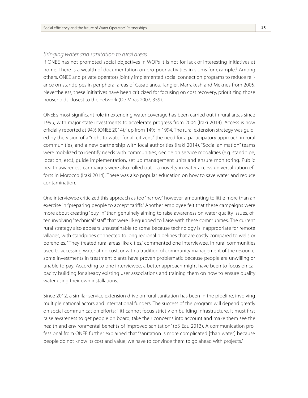#### *Bringing water and sanitation to rural areas*

If ONEE has not promoted social objectives in WOPs it is not for lack of interesting initiatives at home. There is a wealth of documentation on pro-poor activities in slums for example.<sup>6</sup> Among others, ONEE and private operators jointly implemented social connection programs to reduce reliance on standpipes in peripheral areas of Casablanca, Tangier, Marrakesh and Meknes from 2005. Nevertheless, these initiatives have been criticized for focusing on cost recovery, prioritizing those households closest to the network (De Miras 2007, 359).

ONEE's most significant role in extending water coverage has been carried out in rural areas since 1995, with major state investments to accelerate progress from 2004 (Iraki 2014). Access is now officially reported at 94% (ONEE 2014),<sup>7</sup> up from 14% in 1994. The rural extension strategy was guided by the vision of a "right to water for all citizens," the need for a participatory approach in rural communities, and a new partnership with local authorities (Iraki 2014). "Social animation" teams were mobilized to identify needs with communities, decide on service modalities (e.g. standpipe, location, etc.), guide implementation, set up management units and ensure monitoring. Public health awareness campaigns were also rolled out – a novelty in water access universalization efforts in Morocco (Iraki 2014). There was also popular education on how to save water and reduce contamination.

One interviewee criticized this approach as too "narrow," however, amounting to little more than an exercise in "preparing people to accept tariffs." Another employee felt that these campaigns were more about creating "buy-in" than genuinely aiming to raise awareness on water quality issues, often involving "technical" staff that were ill-equipped to liaise with these communities. The current rural strategy also appears unsustainable to some because technology is inappropriate for remote villages, with standpipes connected to long regional pipelines that are costly compared to wells or boreholes. "They treated rural areas like cities," commented one interviewee. In rural communities used to accessing water at no cost, or with a tradition of community management of the resource, some investments in treatment plants have proven problematic because people are unwilling or unable to pay. According to one interviewee, a better approach might have been to focus on capacity building for already existing user associations and training them on how to ensure quality water using their own installations.

Since 2012, a similar service extension drive on rural sanitation has been in the pipeline, involving multiple national actors and international funders. The success of the program will depend greatly on social communication efforts: "[it] cannot focus strictly on building infrastructure, it must first raise awareness to get people on board, take their concerns into account and make them see the health and environmental benefits of improved sanitation" (pS-Eau 2013). A communication professional from ONEE further explained that "sanitation is more complicated [than water] because people do not know its cost and value; we have to convince them to go ahead with projects."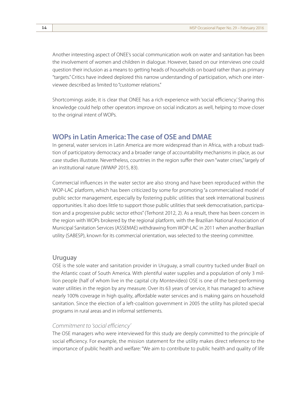Another interesting aspect of ONEE's social communication work on water and sanitation has been the involvement of women and children in dialogue. However, based on our interviews one could question their inclusion as a means to getting heads of households on board rather than as primary "targets." Critics have indeed deplored this narrow understanding of participation, which one interviewee described as limited to "customer relations."

Shortcomings aside, it is clear that ONEE has a rich experience with 'social efficiency.' Sharing this knowledge could help other operators improve on social indicators as well, helping to move closer to the original intent of WOPs.

### **WOPs in Latin America: The case of OSE and DMAE**

In general, water services in Latin America are more widespread than in Africa, with a robust tradition of participatory democracy and a broader range of accountability mechanisms in place, as our case studies illustrate. Nevertheless, countries in the region suffer their own "water crises," largely of an institutional nature (WWAP 2015, 83).

Commercial influences in the water sector are also strong and have been reproduced within the WOP-LAC platform, which has been criticized by some for promoting "a commercialised model of public sector management, especially by fostering public utilities that seek international business opportunities. It also does little to support those public utilities that seek democratisation, participation and a progressive public sector ethos" (Terhorst 2012, 2). As a result, there has been concern in the region with WOPs brokered by the regional platform, with the Brazilian National Association of Municipal Sanitation Services (ASSEMAE) withdrawing from WOP-LAC in 2011 when another Brazilian utility (SABESP), known for its commercial orientation, was selected to the steering committee.

#### Uruguay

OSE is the sole water and sanitation provider in Uruguay, a small country tucked under Brazil on the Atlantic coast of South America. With plentiful water supplies and a population of only 3 million people (half of whom live in the capital city Montevideo) OSE is one of the best-performing water utilities in the region by any measure. Over its 63 years of service, it has managed to achieve nearly 100% coverage in high quality, affordable water services and is making gains on household sanitation. Since the election of a left-coalition government in 2005 the utility has piloted special programs in rural areas and in informal settlements.

#### *Commitment to 'social efficiency'*

The OSE managers who were interviewed for this study are deeply committed to the principle of social efficiency. For example, the mission statement for the utility makes direct reference to the importance of public health and welfare: "We aim to contribute to public health and quality of life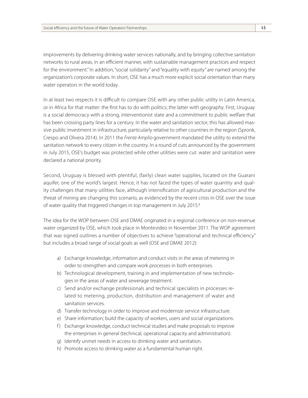improvements by delivering drinking water services nationally, and by bringing collective sanitation networks to rural areas, in an efficient manner, with sustainable management practices and respect for the environment." In addition, "social solidarity" and "equality with equity" are named among the organization's corporate values. In short, OSE has a much more explicit social orientation than many water operators in the world today.

In at least two respects it is difficult to compare OSE with any other public utility in Latin America, or in Africa for that matter: the first has to do with politics; the latter with geography. First, Uruguay is a social democracy with a strong, interventionist state and a commitment to public welfare that has been crossing party lines for a century. In the water and sanitation sector, this has allowed massive public investment in infrastructure, particularly relative to other countries in the region (Spronk, Crespo and Olivera 2014). In 2011 the *Frente Amplio* government mandated the utility to extend the sanitation network to every citizen in the country. In a round of cuts announced by the government in July 2015, OSE's budget was protected while other utilities were cut: water and sanitation were declared a national priority.

Second, Uruguay is blessed with plentiful, (fairly) clean water supplies, located on the Guarani aquifer, one of the world's largest. Hence, it has not faced the types of water quantity and quality challenges that many utilities face, although intensification of agricultural production and the threat of mining are changing this scenario, as evidenced by the recent crisis in OSE over the issue of water quality that triggered changes in top management in July 2015.<sup>8</sup>

The idea for the WOP between OSE and DMAE originated in a regional conference on non-revenue water organized by OSE, which took place in Montevideo in November 2011. The WOP agreement that was signed outlines a number of objectives to achieve "operational and technical efficiency" but includes a broad range of social goals as well (OSE and DMAE 2012):

- a) Exchange knowledge, information and conduct visits in the areas of metering in order to strengthen and compare work processes in both enterprises.
- b) Technological development, training in and implementation of new technologies in the areas of water and sewerage treatment.
- c) Send and/or exchange professionals and technical specialists in processes related to metering, production, distribution and management of water and sanitation services.
- d) Transfer technology in order to improve and modernize service infrastructure.
- e) Share information; build the capacity of workers, users and social organizations.
- f) Exchange knowledge, conduct technical studies and make proposals to improve the enterprises in general (technical, operational capacity and administration).
- g) Identify unmet needs in access to drinking water and sanitation.
- h) Promote access to drinking water as a fundamental human right.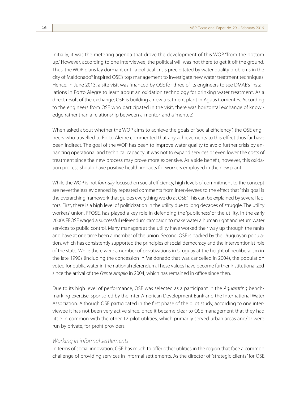Initially, it was the metering agenda that drove the development of this WOP "from the bottom up." However, according to one interviewee, the political will was not there to get it off the ground. Thus, the WOP plans lay dormant until a political crisis precipitated by water quality problems in the city of Maldonado<sup>9</sup> inspired OSE's top management to investigate new water treatment techniques. Hence, in June 2013, a site visit was financed by OSE for three of its engineers to see DMAE's installations in Porto Alegre to learn about an oxidation technology for drinking water treatment. As a direct result of the exchange, OSE is building a new treatment plant in Aguas Corrientes. According to the engineers from OSE who participated in the visit, there was horizontal exchange of knowledge rather than a relationship between a 'mentor' and a 'mentee'.

When asked about whether the WOP aims to achieve the goals of "social efficiency", the OSE engineers who travelled to Porto Alegre commented that any achievements to this effect thus far have been indirect. The goal of the WOP has been to improve water quality to avoid further crisis by enhancing operational and technical capacity; it was not to expand services or even lower the costs of treatment since the new process may prove more expensive. As a side benefit, however, this oxidation process should have positive health impacts for workers employed in the new plant.

While the WOP is not *formally* focused on social efficiency, high levels of commitment to the concept are nevertheless evidenced by repeated comments from interviewees to the effect that "this goal is the overarching framework that guides everything we do at OSE." This can be explained by several factors. First, there is a high level of politicization in the utility due to long decades of struggle. The utility workers' union, FFOSE, has played a key role in defending the 'publicness' of the utility. In the early 2000s FFOSE waged a successful referendum campaign to make water a human right and return water services to public control. Many managers at the utility have worked their way up through the ranks and have at one time been a member of the union. Second, OSE is backed by the Uruguayan population, which has consistently supported the principles of social democracy and the interventionist role of the state. While there were a number of privatizations in Uruguay at the height of neoliberalism in the late 1990s (including the concession in Maldonado that was cancelled in 2004), the population voted for public water in the national referendum. These values have become further institutionalized since the arrival of the *Frente Amplio* in 2004, which has remained in office since then.

Due to its high level of performance, OSE was selected as a participant in the *Aquarating* benchmarking exercise, sponsored by the Inter-American Development Bank and the International Water Association. Although OSE participated in the first phase of the pilot study, according to one interviewee it has not been very active since, once it became clear to OSE management that they had little in common with the other 12 pilot utilities, which primarily served urban areas and/or were run by private, for-profit providers.

#### *Working in informal settlements*

In terms of social innovation, OSE has much to offer other utilities in the region that face a common challenge of providing services in informal settlements. As the director of "strategic clients" for OSE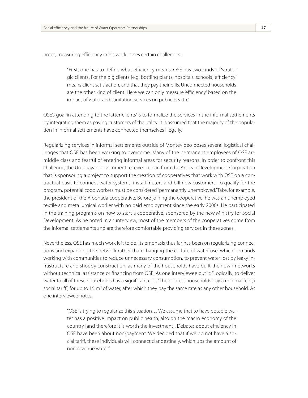notes, measuring efficiency in his work poses certain challenges:

"First, one has to define what efficiency means. OSE has two kinds of 'strategic clients'. For the big clients [e.g. bottling plants, hospitals, schools] 'efficiency' means client satisfaction, and that they pay their bills. Unconnected households are the other kind of client. Here we can only measure 'efficiency' based on the impact of water and sanitation services on public health."

OSE's goal in attending to the latter 'clients' is to formalize the services in the informal settlements by integrating them as paying customers of the utility. It is assumed that the majority of the population in informal settlements have connected themselves illegally.

Regularizing services in informal settlements outside of Montevideo poses several logistical challenges that OSE has been working to overcome. Many of the permanent employees of OSE are middle class and fearful of entering informal areas for security reasons. In order to confront this challenge, the Uruguayan government received a loan from the Andean Development Corporation that is sponsoring a project to support the creation of cooperatives that work with OSE on a contractual basis to connect water systems, install meters and bill new customers. To qualify for the program, potential coop workers must be considered "permanently unemployed." Take, for example, the president of the Albonada cooperative. Before joining the cooperative, he was an unemployed textile and metallurgical worker with no paid employment since the early 2000s. He participated in the training programs on how to start a cooperative, sponsored by the new Ministry for Social Development. As he noted in an interview, most of the members of the cooperatives come from the informal settlements and are therefore comfortable providing services in these zones.

Nevertheless, OSE has much work left to do. Its emphasis thus far has been on regularizing connections and expanding the network rather than changing the culture of water use, which demands working with communities to reduce unnecessary consumption, to prevent water lost by leaky infrastructure and shoddy construction, as many of the households have built their own networks without technical assistance or financing from OSE. As one interviewee put it: "Logically, to deliver water to all of these households has a significant cost." The poorest households pay a minimal fee (a social tariff) for up to 15 m<sup>3</sup> of water, after which they pay the same rate as any other household. As one interviewee notes,

> "OSE is trying to regularize this situation… We assume that to have potable water has a positive impact on public health, also on the macro economy of the country [and therefore it is worth the investment]. Debates about efficiency in OSE have been about non-payment. We decided that if we do not have a social tariff, these individuals will connect clandestinely, which ups the amount of non-revenue water."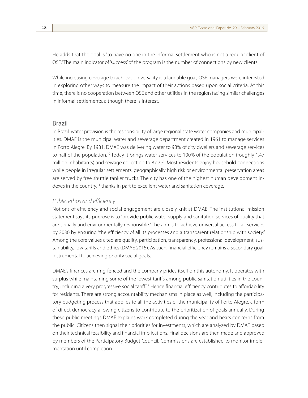He adds that the goal is "to have no one in the informal settlement who is not a regular client of OSE." The main indicator of 'success' of the program is the number of connections by new clients.

While increasing coverage to achieve universality is a laudable goal, OSE managers were interested in exploring other ways to measure the impact of their actions based upon social criteria. At this time, there is no cooperation between OSE and other utilities in the region facing similar challenges in informal settlements, although there is interest.

#### Brazil

In Brazil, water provision is the responsibility of large regional state water companies and municipalities. DMAE is the municipal water and sewerage department created in 1961 to manage services in Porto Alegre. By 1981, DMAE was delivering water to 98% of city dwellers and sewerage services to half of the population.<sup>10</sup> Today it brings water services to 100% of the population (roughly 1.47 million inhabitants) and sewage collection to 87.7%. Most residents enjoy household connections while people in irregular settlements, geographically high risk or environmental preservation areas are served by free shuttle tanker trucks. The city has one of the highest human development indexes in the country,<sup>11</sup> thanks in part to excellent water and sanitation coverage.

#### *Public ethos and efficiency*

Notions of efficiency and social engagement are closely knit at DMAE. The institutional mission statement says its purpose is to "provide public water supply and sanitation services of quality that are socially and environmentally responsible." The aim is to achieve universal access to all services by 2030 by ensuring "the efficiency of all its processes and a transparent relationship with society." Among the core values cited are quality, participation, transparency, professional development, sustainability, low tariffs and ethics (DMAE 2015). As such, financial efficiency remains a secondary goal, instrumental to achieving priority social goals.

DMAE's finances are ring-fenced and the company prides itself on this autonomy. It operates with surplus while maintaining some of the lowest tariffs among public sanitation utilities in the country, including a very progressive social tariff.<sup>12</sup> Hence financial efficiency contributes to affordability for residents. There are strong accountability mechanisms in place as well, including the participatory budgeting process that applies to all the activities of the municipality of Porto Alegre, a form of direct democracy allowing citizens to contribute to the prioritization of goals annually. During these public meetings DMAE explains work completed during the year and hears concerns from the public. Citizens then signal their priorities for investments, which are analyzed by DMAE based on their technical feasibility and financial implications. Final decisions are then made and approved by members of the Participatory Budget Council. Commissions are established to monitor implementation until completion.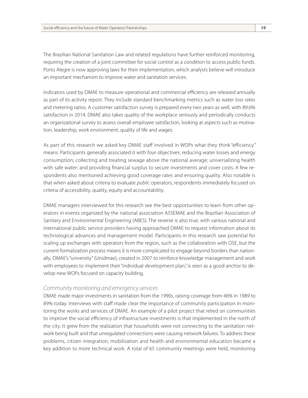The Brazilian National Sanitation Law and related regulations have further reinforced monitoring, requiring the creation of a joint committee for social control as a condition to access public funds. Porto Alegre is now approving laws for their implementation, which analysts believe will introduce an important mechanism to improve water and sanitation services.

Indicators used by DMAE to measure operational and commercial efficiency are released annually as part of its activity report. They include standard benchmarking metrics such as water loss rates and metering ratios. A customer satisfaction survey is prepared every two years as well, with 89.6% satisfaction in 2014. DMAE also takes quality of the workplace seriously and periodically conducts an organizational survey to assess overall employee satisfaction, looking at aspects such as motivation, leadership, work environment, quality of life and wages.

As part of this research we asked key DMAE staff involved in WOPs what they think "efficiency" means. Participants generally associated it with four objectives: reducing water losses and energy consumption; collecting and treating sewage above the national average; universalizing health with safe water; and providing financial surplus to secure investments and cover costs. A few respondents also mentioned achieving good coverage rates and ensuring quality. Also notable is that when asked about criteria to evaluate *public* operators, respondents immediately focused on criteria of accessibility, quality, equity and accountability.

DMAE managers interviewed for this research see the best opportunities to learn from other operators in events organized by the national association ASSEMAE and the Brazilian Association of Sanitary and Environmental Engineering (ABES). The reverse is also true, with various national and international public service providers having approached DMAE to request information about its technological advances and management model. Participants in this research saw potential for scaling up exchanges with operators from the region, such as the collaboration with OSE, but the current formalization process means it is more complicated to engage beyond borders than nationally. DMAE's "university" (Unidmae), created in 2007 to reinforce knowledge management and work with employees to implement their "individual development plan," is seen as a good anchor to develop new WOPs focused on capacity building.

#### *Community monitoring and emergency services*

DMAE made major investments in sanitation from the 1990s, raising coverage from 46% in 1989 to 89% today. Interviews with staff made clear the importance of community participation in monitoring the works and services of DMAE. An example of a pilot project that relied on communities to improve the social efficiency of infrastructure investments is that implemented in the north of the city. It grew from the realization that households were not connecting to the sanitation network being built and that unregulated connections were causing network failures. To address these problems, citizen integration, mobilization and health and environmental education became a key addition to more technical work. A total of 65 community meetings were held, monitoring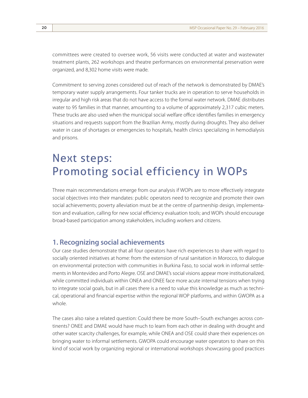committees were created to oversee work, 56 visits were conducted at water and wastewater treatment plants, 262 workshops and theatre performances on environmental preservation were organized, and 8,302 home visits were made.

Commitment to serving zones considered out of reach of the network is demonstrated by DMAE's temporary water supply arrangements. Four tanker trucks are in operation to serve households in irregular and high risk areas that do not have access to the formal water network. DMAE distributes water to 95 families in that manner, amounting to a volume of approximately 2,317 cubic meters. These trucks are also used when the municipal social welfare office identifies families in emergency situations and requests support from the Brazilian Army, mostly during droughts. They also deliver water in case of shortages or emergencies to hospitals, health clinics specializing in hemodialysis and prisons.

# Next steps: Promoting social efficiency in WOPs

Three main recommendations emerge from our analysis if WOPs are to more effectively integrate social objectives into their mandates: public operators need to recognize and promote their own social achievements; poverty alleviation must be at the centre of partnership design, implementation and evaluation, calling for new social efficiency evaluation tools; and WOPs should encourage broad-based participation among stakeholders, including workers and citizens.

### **1. Recognizing social achievements**

Our case studies demonstrate that all four operators have rich experiences to share with regard to socially oriented initiatives at home: from the extension of rural sanitation in Morocco, to dialogue on environmental protection with communities in Burkina Faso, to social work in informal settlements in Montevideo and Porto Alegre. OSE and DMAE's social visions appear more institutionalized, while committed individuals within ONEA and ONEE face more acute internal tensions when trying to integrate social goals, but in all cases there is a need to value this knowledge as much as technical, operational and financial expertise within the regional WOP platforms, and within GWOPA as a whole.

The cases also raise a related question: Could there be more South–South exchanges across continents? ONEE and DMAE would have much to learn from each other in dealing with drought and other water scarcity challenges, for example, while ONEA and OSE could share their experiences on bringing water to informal settlements. GWOPA could encourage water operators to share on this kind of social work by organizing regional or international workshops showcasing good practices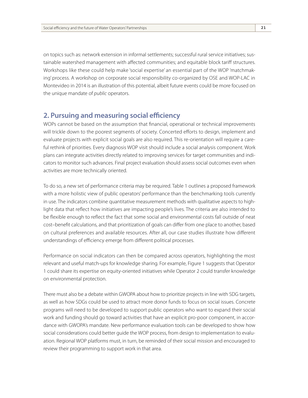on topics such as: network extension in informal settlements; successful rural service initiatives; sustainable watershed management with affected communities; and equitable block tariff structures. Workshops like these could help make 'social expertise' an essential part of the WOP 'matchmaking' process. A workshop on corporate social responsibility co-organized by OSE and WOP-LAC in Montevideo in 2014 is an illustration of this potential, albeit future events could be more focused on the unique mandate of *public* operators.

#### **2. Pursuing and measuring social efficiency**

WOPs cannot be based on the assumption that financial, operational or technical improvements will trickle down to the poorest segments of society. Concerted efforts to design, implement and evaluate projects with explicit social goals are also required. This re-orientation will require a careful rethink of priorities. Every diagnosis WOP visit should include a social analysis component. Work plans can integrate activities directly related to improving services for target communities and indicators to monitor such advances. Final project evaluation should assess social outcomes even when activities are more technically oriented.

To do so, a new set of performance criteria may be required. Table 1 outlines a proposed framework with a more holistic view of public operators' performance than the benchmarking tools currently in use. The indicators combine quantitative measurement methods with qualitative aspects to highlight data that reflect how initiatives are impacting people's lives. The criteria are also intended to be flexible enough to reflect the fact that some social and environmental costs fall outside of neat cost–benefit calculations, and that prioritization of goals can differ from one place to another, based on cultural preferences and available resources. After all, our case studies illustrate how different understandings of efficiency emerge from different political processes.

Performance on social indicators can then be compared across operators, highlighting the most relevant and useful match-ups for knowledge sharing. For example, Figure 1 suggests that Operator 1 could share its expertise on equity-oriented initiatives while Operator 2 could transfer knowledge on environmental protection.

There must also be a debate within GWOPA about how to prioritize projects in line with SDG targets, as well as how SDGs could be used to attract more donor funds to focus on social issues. Concrete programs will need to be developed to support public operators who want to expand their social work and funding should go toward activities that have an explicit pro-poor component, in accordance with GWOPA's mandate. New performance evaluation tools can be developed to show how social considerations could better guide the WOP process, from design to implementation to evaluation. Regional WOP platforms must, in turn, be reminded of their social mission and encouraged to review their programming to support work in that area.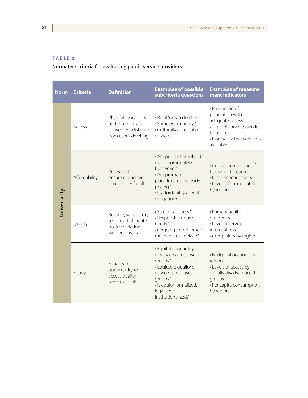#### **Table 1:**

Normative criteria for evaluating public service providers

| <b>Norm</b>  | <b>Criteria</b> | <b>Definition</b>                                                                           | <b>Examples of possible</b><br>subcriteria questions                                                                                                                                   | <b>Examples of measure-</b><br>ment indicators                                                                                              |
|--------------|-----------------|---------------------------------------------------------------------------------------------|----------------------------------------------------------------------------------------------------------------------------------------------------------------------------------------|---------------------------------------------------------------------------------------------------------------------------------------------|
| Universality | Access          | Physical availability<br>of the service at a<br>convenient distance<br>from user's dwelling | · Rural/urban divide?<br>· Sufficient quantity?<br>• Culturally acceptable<br>service?                                                                                                 | • Proportion of<br>population with<br>adequate access<br>· Time-distance to service<br>location<br>• Hours/day that service is<br>available |
|              | Affordability   | Prices that<br>ensure economic<br>accessibility for all                                     | • Are poorer households<br>disproportionately<br>burdened?<br>• Are programs in<br>place for cross-subsidy<br>pricing?<br>· Is affordability a legal<br>obligation?                    | • Cost as percentage of<br>household income<br>• Disconnection rates<br>• Levels of subsidization<br>by region                              |
|              | Quality         | Reliable, satisfactory<br>services that create<br>positive relations<br>with end users      | • Safe for all users?<br>• Responsive to user<br>needs?<br>· Ongoing improvement<br>mechanisms in place?                                                                               | • Primary health<br>outcomes<br>• Level of service<br>interruptions<br>• Complaints by region                                               |
|              | Equity          | Equality of<br>opportunity to<br>access quality<br>services for all                         | • Equitable quantity<br>of service across user<br>groups?<br>• Equitable quality of<br>service across user<br>groups?<br>· Is equity formalized,<br>legalized or<br>institutionalized? | • Budget allocations by<br>region<br>• Levels of access by<br>socially disadvantaged<br>groups<br>• Per capita consumption<br>by region     |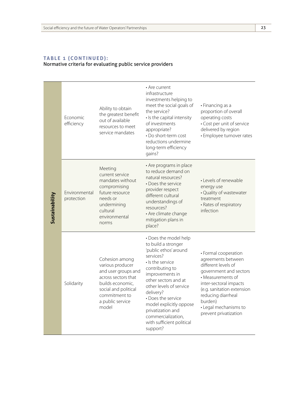#### **Table 1 (cont inued):** Normative criteria for evaluating public service providers

| Sustainability | Economic<br>efficiency      | Ability to obtain<br>the greatest benefit<br>out of available<br>resources to meet<br>service mandates                                                                     | • Are current<br>infrastructure<br>investments helping to<br>meet the social goals of<br>the service?<br>· Is the capital intensity<br>of investments<br>appropriate?<br>• Do short-term cost<br>reductions undermine<br>long-term efficiency<br>gains?                                                                                           | • Financing as a<br>proportion of overall<br>operating costs<br>• Cost per unit of service<br>delivered by region<br>· Employee turnover rates                                                                                                              |
|----------------|-----------------------------|----------------------------------------------------------------------------------------------------------------------------------------------------------------------------|---------------------------------------------------------------------------------------------------------------------------------------------------------------------------------------------------------------------------------------------------------------------------------------------------------------------------------------------------|-------------------------------------------------------------------------------------------------------------------------------------------------------------------------------------------------------------------------------------------------------------|
|                | Environmental<br>protection | Meeting<br>current service<br>mandates without<br>compromising<br>future resource<br>needs or<br>undermining<br>cultural<br>environmental<br>norms                         | • Are programs in place<br>to reduce demand on<br>natural resources?<br>• Does the service<br>provider respect<br>different cultural<br>understandings of<br>resources?<br>• Are climate change<br>mitigation plans in<br>place?                                                                                                                  | • Levels of renewable<br>energy use<br>· Quality of wastewater<br>treatment<br>• Rates of respiratory<br>infection                                                                                                                                          |
|                | Solidarity                  | Cohesion among<br>various producer<br>and user groups and<br>across sectors that<br>builds economic,<br>social and political<br>commitment to<br>a public service<br>model | • Does the model help<br>to build a stronger<br>'public ethos' around<br>services?<br>• Is the service<br>contributing to<br>improvements in<br>other sectors and at<br>other levels of service<br>delivery?<br>• Does the service<br>model explicitly oppose<br>privatization and<br>commercialization,<br>with sufficient political<br>support? | • Formal cooperation<br>agreements between<br>different levels of<br>government and sectors<br>• Measurements of<br>inter-sectoral impacts<br>(e.g. sanitation extension<br>reducing diarrheal<br>burden)<br>• Legal mechanisms to<br>prevent privatization |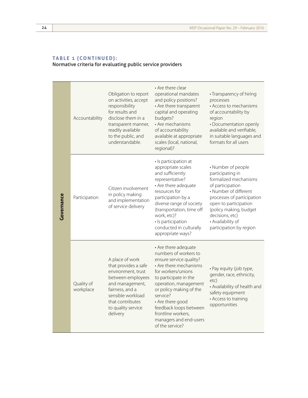| Governance | Accountability          | Obligation to report<br>on activities, accept<br>responsibility<br>for results and<br>disclose them in a<br>transparent manner,<br>readily available<br>to the public, and<br>understandable.       | • Are there clear<br>operational mandates<br>and policy positions?<br>• Are there transparent<br>capital and operating<br>budgets?<br>• Are mechanisms<br>of accountability<br>available at appropriate<br>scales (local, national,<br>regional)?                                                                                  | • Transparency of hiring<br>processes<br>• Access to mechanisms<br>of accountability by<br>region<br>· Documentation openly<br>available and verifiable,<br>in suitable languages and<br>formats for all users                                                   |
|------------|-------------------------|-----------------------------------------------------------------------------------------------------------------------------------------------------------------------------------------------------|------------------------------------------------------------------------------------------------------------------------------------------------------------------------------------------------------------------------------------------------------------------------------------------------------------------------------------|------------------------------------------------------------------------------------------------------------------------------------------------------------------------------------------------------------------------------------------------------------------|
|            | Participation           | Citizen involvement<br>in policy making<br>and implementation<br>of service delivery                                                                                                                | · Is participation at<br>appropriate scales<br>and sufficiently<br>representative?<br>• Are there adequate<br>resources for<br>participation by a<br>diverse range of society<br>(transportation, time off<br>work, etc)?<br>· Is participation<br>conducted in culturally<br>appropriate ways?                                    | • Number of people<br>participating in<br>formalized mechanisms<br>of participation<br>• Number of different<br>processes of participation<br>open to participation<br>(policy making, budget<br>decisions, etc)<br>• Availability of<br>participation by region |
|            | Quality of<br>workplace | A place of work<br>that provides a safe<br>environment, trust<br>between employees<br>and management,<br>fairness, and a<br>sensible workload<br>that contributes<br>to quality service<br>delivery | • Are there adequate<br>numbers of workers to<br>ensure service quality?<br>• Are there mechanisms<br>for workers/unions<br>to participate in the<br>operation, management<br>or policy making of the<br>service?<br>• Are there good<br>feedback loops between<br>frontline workers,<br>managers and end-users<br>of the service? | · Pay equity (job type,<br>gender, race, ethnicity,<br>etc)<br>• Availability of health and<br>safety equipment<br>• Access to training<br>opportunities                                                                                                         |

#### **Table 1 (cont inued):** Normative criteria for evaluating public service providers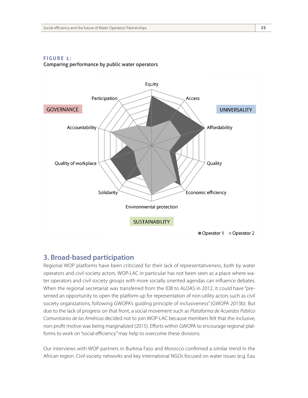

#### **Figure 1:** Comparing performance by public water operators **Figure 1: Comparing performance by public water operators**

### **3. Broad-based participation**

Regional WOP platforms have been criticized for their lack of representativeness, both by water operators and civil society actors. WOP-LAC in particular has not been seen as a place where water operators and civil society groups with more socially oriented agendas can influence debates. When the regional secretariat was transferred from the IDB to ALOAS in 2012, it could have "presented an opportunity to open the platform up for representation of non-utility actors such as civil society organizations, following GWOPA's guiding principle of inclusiveness" (GWOPA 2013b). But due to the lack of progress on that front, a social movement such as *Plataforma de Acuerdos Público Comunitarios de las Américas* decided not to join WOP-LAC because members felt that the inclusive, non-profit motive was being marginalized (2015). Efforts within GWOPA to encourage regional platforms to work on "social efficiency" may help to overcome these divisions.

Our interviews with WOP partners in Burkina Faso and Morocco confirmed a similar trend in the African region. Civil society networks and key international NGOs focused on water issues (e.g. Eau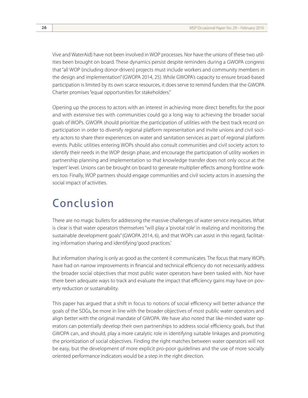Vive and WaterAid) have not been involved in WOP processes. Nor have the unions of these two utilities been brought on board. These dynamics persist despite reminders during a GWOPA congress that "all WOP (including donor-driven) projects must include workers and community members in the design and implementation" (GWOPA 2014, 25). While GWOPA's capacity to ensure broad-based participation is limited by its own scarce resources, it does serve to remind funders that the GWOPA Charter promises "equal opportunities for stakeholders."

Opening up the process to actors with an interest in achieving more direct benefits for the poor and with extensive ties with communities could go a long way to achieving the broader social goals of WOPs. GWOPA should prioritize the participation of utilities with the best track record on participation in order to diversify regional platform representation and invite unions and civil society actors to share their experiences on water and sanitation services as part of regional platform events. Public utilities entering WOPs should also consult communities and civil society actors to identify their needs in the WOP design phase, and encourage the participation of utility workers in partnership planning and implementation so that knowledge transfer does not only occur at the 'expert' level. Unions can be brought on board to generate multiplier effects among frontline workers too. Finally, WOP partners should engage communities and civil society actors in assessing the social impact of activities.

# Conclusion

There are no magic bullets for addressing the massive challenges of water service inequities. What is clear is that water operators themselves "will play a 'pivotal role' in realizing and monitoring the sustainable development goals" (GWOPA 2014, 6), and that WOPs can assist in this regard, facilitating information sharing and identifying 'good practices.'

But information sharing is only as good as the content it communicates. The focus that many WOPs have had on narrow improvements in financial and technical efficiency do not necessarily address the broader social objectives that most public water operators have been tasked with. Nor have there been adequate ways to track and evaluate the impact that efficiency gains may have on poverty reduction or sustainability.

This paper has argued that a shift in focus to notions of social efficiency will better advance the goals of the SDGs, be more in line with the broader objectives of most public water operators and align better with the original mandate of GWOPA. We have also noted that like-minded water operators can potentially develop their own partnerships to address social efficiency goals, but that GWOPA can, and should, play a more catalytic role in identifying suitable linkages and promoting the prioritization of social objectives. Finding the right matches between water operators will not be easy, but the development of more explicit pro-poor guidelines and the use of more socially oriented performance indicators would be a step in the right direction.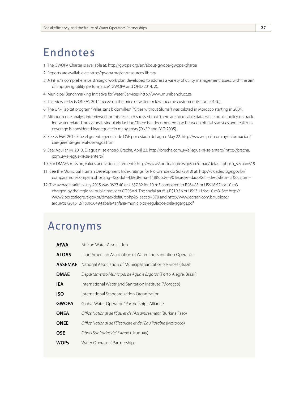# Endnotes

- 1 The GWOPA Charter is available at: http://gwopa.org/en/about-gwopa/gwopa-charter
- 2 Reports are available at: http://gwopa.org/en/resources-library
- 3 A PiP is "a comprehensive strategic work plan developed to address a variety of utility management issues, with the aim of improving utility performance" (GWOPA and OFID 2014, 2).
- 4 Municipal Benchmarking Initiative for Water Services. http://www.munibench.co.za
- 5 This view reflects ONEA's 2014 freeze on the price of water for low-income customers (Baron 2014b).
- 6 The UN-Habitat program ''Villes sans bidonvilles'' ("Cities without Slums") was piloted in Morocco starting in 2004.
- 7 Although one analyst interviewed for this research stressed that "there are no reliable data, while public policy on tracking water-related indicators is singularly lacking." There is a documented gap between official statistics and reality, as coverage is considered inadequate in many areas (ONEP and FAO 2005).
- 8 See: *El País.* 2015. Cae el gerente general de OSE por estado del agua. May 22. http://www.elpais.com.uy/informacion/ cae-gerente-general-ose-agua.htm
- 9 See: Aguilar, M. 2013. El agua ni se enteró. Brecha, April 23. http://brecha.com.uy/el-agua-ni-se-entero/ http://brecha. com.uy/el-agua-ni-se-entero/
- 10 For DMAE's mission, values and vision statements: http://www2.portoalegre.rs.gov.br/dmae/default.php?p\_secao=319
- 11 See the Municipal Human Development Index ratings for Rio Grande do Sul (2010) at: http://cidades.ibge.gov.br/ comparamun/compara.php?lang=&coduf=43&idtema=118&codv=V01&order=dado&dir=desc&lista=uf&custom=
- 12 The average tariff in July 2015 was R\$27.40 or US\$7.82 for 10 m3 compared to R\$64.83 or US\$18.52 for 10 m3 charged by the regional public provider CORSAN. The social tariff is R\$10.56 or US\$3.11 for 10 m3. See http:// www2.portoalegre.rs.gov.br/dmae/default.php?p\_secao=370 and http://www.corsan.com.br/upload/ arquivos/201512/16095649-tabela-tarifaria-municipios-regulados-pela-agergs.pdf

### Acronyms

| <b>AfWA</b>    | African Water Association                                       |
|----------------|-----------------------------------------------------------------|
| <b>ALOAS</b>   | Latin American Association of Water and Sanitation Operators    |
| <b>ASSEMAE</b> | National Association of Municipal Sanitation Services (Brazil)  |
| <b>DMAE</b>    | Departamento Municipal de Água e Esgotos (Porto Alegre, Brazil) |
| <b>IEA</b>     | International Water and Sanitation Institute (Morocco)          |
| <b>ISO</b>     | International Standardization Organization                      |
| <b>GWOPA</b>   | Global Water Operators' Partnerships Alliance                   |
| <b>ONEA</b>    | Office National de l'Eau et de l'Assainissement (Burkina Faso)  |
| <b>ONEE</b>    | Office National de l'Électricité et de l'Eau Potable (Morocco)  |
| <b>OSE</b>     | Obras Sanitarias del Estado (Uruguay)                           |
| <b>WOPs</b>    | Water Operators' Partnerships                                   |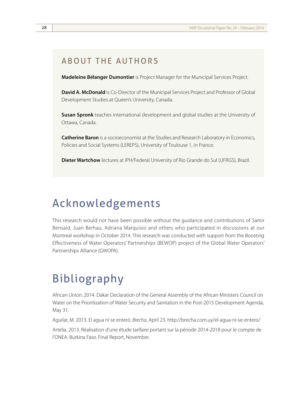### About the authors

**Madeleine Bélanger Dumontier** is Project Manager for the Municipal Services Project.

**David A. McDonald** is Co-Director of the Municipal Services Project and Professor of Global Development Studies at Queen's University, Canada.

**Susan Spronk** teaches international development and global studies at the University of Ottawa, Canada.

**Catherine Baron** is a socioeconomist at the Studies and Research Laboratory in Economics, Policies and Social Systems (LEREPS), University of Toulouse 1, in France.

**Dieter Wartchow** lectures at IPH/Federal University of Rio Grande do Sul (UFRGS), Brazil.

### Acknowledgements

This research would not have been possible without the guidance and contributions of Samir Bensaid, Juan Berhau, Adriana Marquisio and others who participated in discussions at our Montreal workshop in October 2014. This research was conducted with support from the Boosting Effectiveness of Water Operators' Partnerships (BEWOP) project of the Global Water Operators' Partnerships Alliance (GWOPA).

# Bibliography

African Union. 2014. Dakar Declaration of the General Assembly of the African Ministers Council on Water on the Prioritization of Water Security and Sanitation in the Post-2015 Development Agenda, May 31.

Aguilar, M. 2013. El agua ni se enteró. *Brecha*, April 23. http://brecha.com.uy/el-agua-ni-se-entero/

Artelia. 2013. Réalisation d'une étude tarifaire portant sur la période 2014-2018 pour le compte de l'ONEA. Burkina Faso. Final Report, November.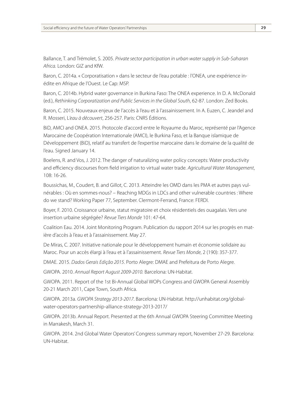Ballance, T. and Trémolet, S. 2005. *Private sector participation in urban water supply in Sub-Saharan Africa.* London: GIZ and KfW.

Baron, C. 2014a. « Corporatisation » dans le secteur de l'eau potable : l'ONEA, une expérience inédite en Afrique de l'Ouest. Le Cap: MSP.

Baron, C. 2014b. Hybrid water governance in Burkina Faso: The ONEA experience. In D. A. McDonald (ed.), *Rethinking Corporatization and Public Services in the Global South*, 62-87. London: Zed Books.

Baron, C. 2015. Nouveaux enjeux de l'accès à l'eau et à l'assainissement. In A. Euzen, C. Jeandel and R. Mosseri, L*'eau à découvert*, 256-257. Paris: CNRS Éditions.

BiD, AMCI and ONEA. 2015. Protocole d'accord entre le Royaume du Maroc, représenté par l'Agence Marocaine de Coopération Internationale (AMCI), le Burkina Faso, et la Banque islamique de Développement (BiD), relatif au transfert de l'expertise marocaine dans le domaine de la qualité de l'eau. Signed January 14.

Boelens, R. and Vos, J. 2012. The danger of naturalizing water policy concepts: Water productivity and efficiency discourses from field irrigation to virtual water trade. *Agricultural Water Management*, 108: 16-26.

Boussichas, M., Coudert, B. and Gillot, C. 2013. Atteindre les OMD dans les PMA et autres pays vulnérables : Où en sommes-nous? – Reaching MDGs in LDCs and other vulnerable countries : Where do we stand? Working Paper 77, September. Clermont-Ferrand, France: FERDI.

Boyer, F. 2010. Croissance urbaine, statut migratoire et choix résidentiels des ouagalais. Vers une insertion urbaine ségrégée? *Revue Tiers Monde* 101: 47-64.

Coalition Eau. 2014. Joint Monitoring Program. Publication du rapport 2014 sur les progrès en matière d'accès à l'eau et à l'assainissement. May 27.

De Miras, C. 2007. Initiative nationale pour le développement humain et économie solidaire au Maroc. Pour un accès élargi à l'eau et à l'assainissement. *Revue Tiers Monde*, 2 (190): 357-377.

DMAE. 2015. *Dados Gerais Edição 2015*. Porto Alegre: DMAE and Prefeitura de Porto Alegre.

GWOPA. 2010. *Annual Report August 2009-2010.* Barcelona: UN-Habitat.

GWOPA. 2011. Report of the 1st Bi-Annual Global WOPs Congress and GWOPA General Assembly 20-21 March 2011, Cape Town, South Africa.

GWOPA. 2013a. *GWOPA Strategy 2013-2017*. Barcelona: UN-Habitat. http://unhabitat.org/globalwater-operators-partnership-alliance-strategy-2013-2017/

GWOPA. 2013b. Annual Report. Presented at the 6th Annual GWOPA Steering Committee Meeting in Marrakesh, March 31.

GWOPA. 2014. 2nd Global Water Operators' Congress summary report, November 27-29. Barcelona: UN-Habitat.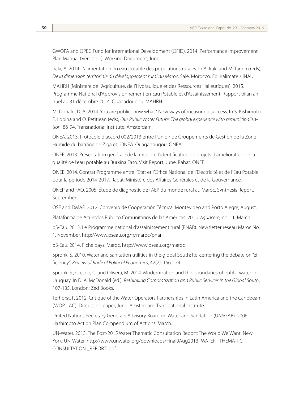GWOPA and OPEC Fund for International Development (OFID). 2014. Performance Improvement Plan Manual (Version 1). Working Document, June.

Iraki, A. 2014. L'alimentation en eau potable des populations rurales. In A. Iraki and M. Tamim (eds), *De la dimension territoriale du développement rural au Maroc*. Salé, Morocco: Éd. Kalimate / INAU.

MAHRH (Ministère de l'Agriculture, de l'Hydraulique et des Ressources Halieutiques). 2015. Programme National d'Approvisionnement en Eau Potable et d'Assainissement. Rapport bilan annuel au 31 décembre 2014. Ouagadougou: MAHRH.

McDonald, D. A. 2014. You are public...now what? New ways of measuring success. In S. Kishimoto, E. Lobina and O. Petitjean (eds), *Our Public Water Future: The global experience with remunicipalisation*, 86-94. Transnational Institute: Amsterdam.

ONEA. 2013. Protocole d'accord 002/2013 entre l'Union de Groupements de Gestion de la Zone Humide du barrage de Ziga et l'ONEA. Ouagadougou: ONEA.

ONEE. 2013. Présentation générale de la mission d'identification de projets d'amélioration de la qualité de l'eau potable au Burkina Faso. Visit Report, June. Rabat: ONEE.

ONEE. 2014. Contrat Programme entre l'Etat et l'Office National de l'Electricité et de l'Eau Potable pour la période 2014-2017. Rabat: Ministère des Affaires Générales et de la Gouvernance.

ONEP and FAO. 2005. Étude de diagnostic de l'AEP du monde rural au Maroc. Synthesis Report, September.

OSE and DMAE. 2012. Convenio de Cooperación Técnica. Montevideo and Porto Alegre, August.

Plataforma de Acuerdos Público Comunitarios de las Américas. 2015. *Aguacero,* no. 11, March.

pS-Eau. 2013. Le Programme national d'assainissement rural (PNAR). Newsletter réseau Maroc No. 1, November. http://www.pseau.org/fr/maroc/pnar

pS-Eau. 2014. Fiche pays: Maroc. http://www.pseau.org/maroc

Spronk, S. 2010. Water and sanitation utilities in the global South: Re-centering the debate on "efficiency". *Review of Radical Political Economics*, 42(2): 156-174.

Spronk, S., Crespo, C. and Olivera, M. 2014. Modernization and the boundaries of public water in Uruguay. In D. A. McDonald (ed.), *Rethinking Corporatization and Public Services in the Global South*, 107-135. London: Zed Books.

Terhorst, P. 2012. Critique of the Water Operators Partnerships in Latin America and the Caribbean (WOP-LAC). Discussion paper, June. Amsterdam: Transnational Institute.

United Nations Secretary General's Advisory Board on Water and Sanitation (UNSGAB). 2006. Hashimoto Action Plan Compendium of Actions. March.

UN-Water. 2013. The Post-2015 Water Thematic Consultation Report: The World We Want. New York: UN-Water. http://www.unwater.org/downloads/Final9Aug2013\_WATER \_THEMATI C\_ CONSULTATION \_REPORT .pdf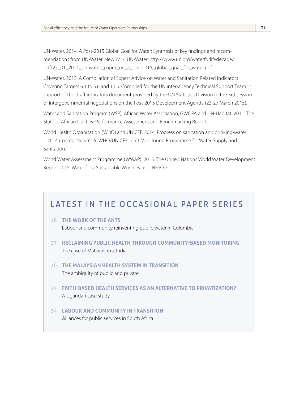UN-Water. 2014. A Post-2015 Global Goal for Water: Synthesis of key findings and recommendations from UN-Water. New York: UN-Water. http://www.un.org/waterforlifedecade/ pdf/27\_01\_2014\_un-water\_paper\_on\_a\_post2015\_global\_goal\_for\_water.pdf

UN-Water. 2015. A Compilation of Expert Advice on Water and Sanitation Related Indicators Covering Targets 6.1 to 6.6 and 11.5. Compiled for the UN inter-agency Technical Support Team in support of the draft indicators document provided by the UN Statistics Division to the 3rd session of intergovernmental negotiations on the Post-2015 Development Agenda (23-27 March 2015).

Water and Sanitation Program (WSP), African Water Association, GWOPA and UN-Habitat. 2011. The State of African Utilities: Performance Assessment and Benchmarking Report.

World Health Organisation (WHO) and UNICEF. 2014. Progress on sanitation and drinking-water – 2014 update. New York: WHO/UNICEF Joint Monitoring Programme for Water Supply and Sanitation.

World Water Assessment Programme (WWAP). 2015. The United Nations World Water Development Report 2015: Water for a Sustainable World. Paris: UNESCO.

### LATEST IN THE OCCASIONAL PAPER SERIES

- 28 **The work of the ants** Labour and community reinventing public water in Colombia
- 27 **Reclaiming public health through community-based monitoring** The case of Maharashtra, India
- 26 **The malaysian health system in transition** The ambiguity of public and private
- 25 **Faith-based health services as an alternative to privatization?** A Ugandan case study
- 24 **Labour and community in transition** Alliances for public services in South Africa